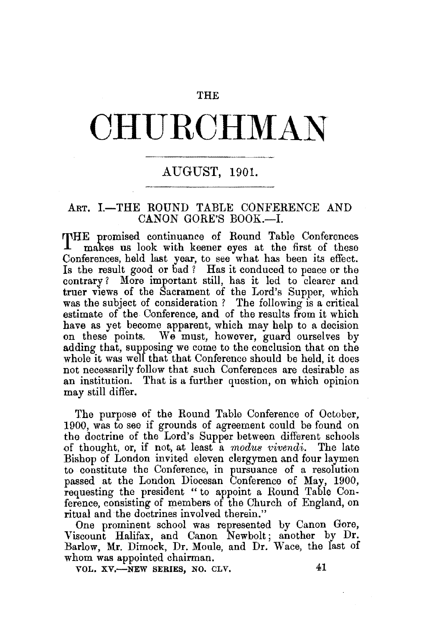## THE

# **CHURCHMAN**

# AUGUST, 1901.

#### ART. I.-THE ROUND TABLE CONFERENCE AND CANON GORE'S BOOK.-I.

THE promised continuance of Round Table Conferences makes us look with keener eyes at the first of these Conferences, held last year, to see what has been its effect. Is the result good or bad? Has it conduced to peace or the contrary? More important still, has it led to clearer and truer views of the Sacrament of the Lord's Supper, which was the subject of consideration ? The following is a critical estimate of the Conference, and of the results from it which have as yet become apparent, which may help to a decision on these points. We must, however, guard ourselves by adding that, supposing we come to the conclusion that on the whole it was well that that Conference should be held, it does not necessarily follow that such Conferences are desirable as an institution. That is a further question, on which opinion may still differ.

The purpose of the Round Table Conference of October, 1900, was to see if grounds of agreement could be found on the doctrine of the Lord's Supper between different schools of thought, or, if not, at least a *modus vivendi.* The late Bishop of London invited eleven clergymen and four laymen to constitute the Conference, in pursuance of a resolution passed at the London Diocesan Conference of May, 1900, requesting the president " to appoint a Round Table Conference, consisting of members of the Church of England, on ritual and the doctrines involved therein."

One prominent school was represented by Canon Gore, Viscount Halifax, and Canon Newbolt; another by Dr. Barlow, Mr. Dimock, Dr. Moule, and Dr. Wace, the last of whom was appointed chairman.

VOL.  $XY$ -NEW SERIES, NO. CLV. 41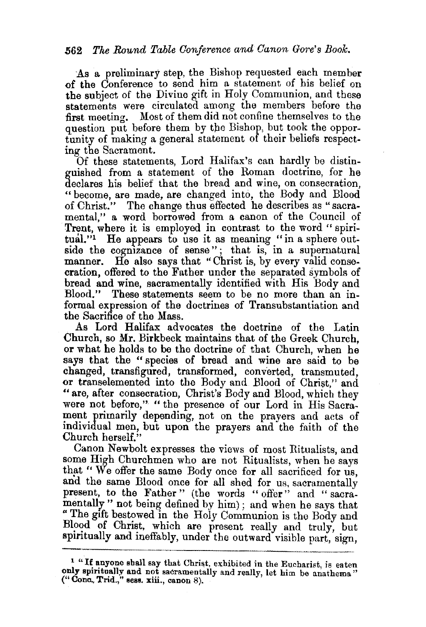As a preliminary step, the Bishop requested each member of the Conference to send him a statement of his belief on the subject of the Divine gift in Holy Communion, and these statements were circulated among the members before the first meeting. Most of them did not confine themselves to the question put before them by the Bishop, but took the opportunity of making a general statement of their beliefs respecting the Sacrament.

Of these statements, Lord Halifax's can hardly be distinguished from a statement of the Roman doctrine, for he declares his belief that the bread and wine, on consecration, "become, are made, are changed into, the Body and Blood of Christ." The change thus effected he describes as "sacramental," a word borrowed from a canon of the Council of Trent, where it is employed in contrast to the word "spiritual."<sup>1</sup> He appears to use it as meaning "in a sphere outside the cognizance of sense"; that is, in a supernatural manner. He also says that "Christ is, by every valid consecration, offered to the Father under the separated symbols of bread and wine, sacramentally identified with His Body and Blood." These statements seem to be no more than an informal expression of the doctrines of Transubstantiation and the Sacrifice of the Mass.

As Lord Halifax advocates the doctrine of the Latin Church, so Mr. Birkbeck maintains that of the Greek Church, or what he holds to be the doctrine of that Church, when he says that the " species of bread and wine are said to be changed, transfigured, transformed, converted, transmuted, or transelemented into the Body and Blood of Christ," and "are, after consecration, Christ's Body and Blood, which they were not before," " the presence of our Lord in His Sacrament primarily depending, not on the prayers and acts of individual men, but upon the prayers and the faith of the Church herself."

Canon Newbolt expresses the views of most Ritualists, and some High Churchmen who are not Ritualists, when be says that " We offer the same Body once for all sacrificed for us, and the same Blood once for all shed for us, sacramentally present, to the Father" (the words " offer" and " sacramentally" not being defined by him) ; and when he says that " The gift bestowed in the Holy Communion is the Body and Blood of Christ, which are present really and truly, but spiritually and ineffably, under the outward visible part, sign,

<sup>&</sup>lt;sup>1</sup> "If anyone shall say that Christ, exhibited in the Eucharist, is eaten only spiritually and not sacramentally and really, let him be anathema' ("Cone., Trid.," sess. xiii., canon 8).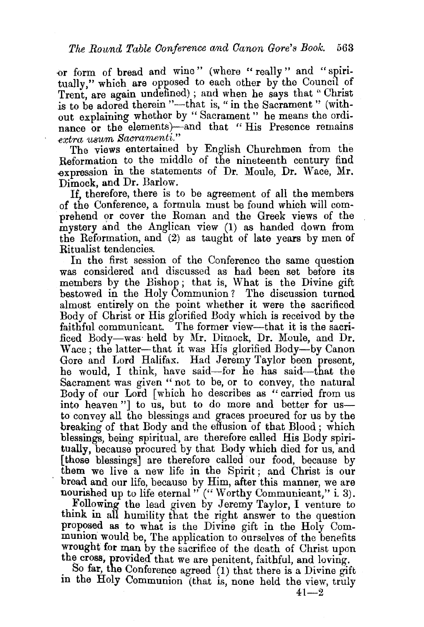-or form of bread and wine" (where "really" and '' spiritually," which are opposed to each other by the Council of Trent are again undefined); and when he says that "Christ is to be adored therein "--- that is, " in the Sacrament" (without explaining whether by " Sacrament " he means the ordinance or the elements)-and that "His Presence remains *extra usum Saorarnenti."* 

The views entertained by English Churchmen from the Reformation to the middle of the nineteenth century find expression in the statements of Dr. Moule, Dr. Wace, Mr. Dimock, and Dr. Barlow.

If, therefore, there is to be agreement of all the members of the Conference, a formula must be found which will comprehend or cover the Roman and the Greek views of the mystery and the Anglican view (1) as handed down from the Reformation, and  $(2)$  as taught of late years by men of Ritualist tendencies.

In the first session of the Conference the same question was considered and discussed as had been set before its members by the Bishop ; that is, What is the Divine gift bestowed in the Holy Communion ? The discussion turned almost entirely on the point whether it were the sacrificed Body of Christ or His glorified Body which is received by the faithful communicant. The former view-that it is the sacriliced Body-was· held by Mr. Dimock, Dr. Moule, and Dr. Wace; the latter-that it was His glorified Body-by Canon Gore and Lord Halifax. Had Jeremy Taylor been present, he would, I think, have said-for he has said-that the Sacrament was given "not to be, or to convey, the natural Body of our Lord [which he describes as " carried from us into heaven"] to us, but to do more and better for usto convey all the blessings and graces procured for us by the breaking of that Body and the effusion of that Blood ; which blessings, being spiritual, are therefore called His Body spiritually, because procured by that Body which died for us, and [those blessings] are therefore called our food, because by them we live a new life in the Spirit ; and Christ is our bread and our life, because by Him, after this manner, we are nourished up to life eternal " ("Worthy Communicant," i. 3).

Following the lead given by Jeremy Taylor, I venture to think in all humility that the right answer to the question proposed as to what is the Divine gift in the Holy Communion would be, The application to ourselves of the benefits wrought for man by the sacrifice of the death of Christ upon

the cross, provided that we are penitent, faithful, and loving. . So far, the Conference agreed (1) that there is a Divine gift m the Holy Communion (that is, none held the view, truly

 $41 - 2$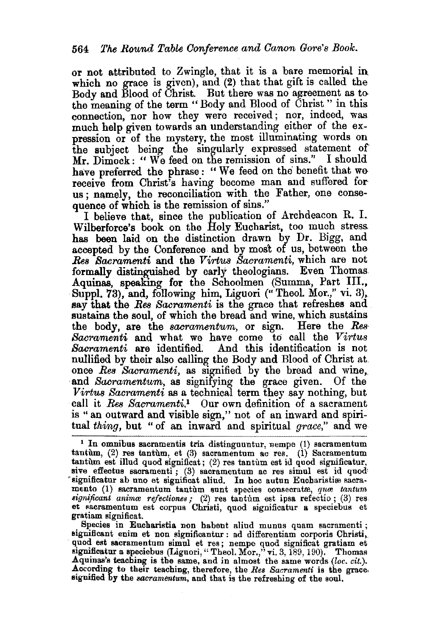or not attributed to Zwingle, that it is a bare memorial in which no grace is given), and (2) that that gift is called the Body and Blood of Christ. But there was no agreement as to the meaning of the term "Body and Blood of Christ " in this connection, nor how they were received; nor, indeed, was much help given towards an understanding either of the expression or of the mystery, the most illuminating words on the subject being the singularly expressed statement of Mr. Dimock: "We feed on the remission of sins." I should have preferred the phrase: "We feed on the benefit that we receive from Christ's having become man and suffered forus; namely, the reconciliation with the Father, one consequence of which is the remission of sins."

I believe that, since the publication of Archdeacon R. I. Wilberforce's book on the Holy Eucharist, too much stress. has been laid on the distinction drawn by Dr. Bigg, and accepted by the Conference and by most of us, between the *Res Bacramenti* and the *Virt'UB Sacramenti,* which are not formally distinguished by early theologians. Even Thomas. Aquinas, speaking for the Schoolmen (Summa, Part III., Suppl. 73), and, following him, Liguori ("Theol. Mor.," vi. 3), say that the *Res Bacramenti* is the grace that refreshes and sustains the soul, of which the bread and wine, which sustains the body, are the *sacramentum,* or sign. Here the *Res-*Sacramenti and what we have come to call the Virtus *Sacramenti* are identified. And this identification is not nullified by their also calling the Body and Blood of Christ at. once *Res Sacramenti*, as signified by the bread and wine, and *Sacramentum*, as signifying the grace given. Of the *Virtus Sacramenti* as a technical term they say nothing, but call it Res *Sacramenti.*1 Our own definition of a sacrament is '' an outward and visible sign," not of an inward and spiritual *thing,* but "of an inward and spiritual *grace,"* and we

Species in Eucharistia non habent aliud munus quam sacramenti ; significant enim et non signifieantur : ad differentiam corporis Christi,\_ quod est sacramentum simul et res; nempe quod significat gratiam et significatur a speciebus (Liguori, "Theol. Mor.," vi. 3, 189, 190). Thomas **Aquinas's teaching is the same**, and in almost the same words *(loc. cit.).* According to their teaching, therefore, the *Res Sacramenti* is the gracestgnified by the *sacramentum,* and that is the refreshing of the soul.

 $1$  In omnibus sacramentis tria distinguuntur,  $p_{\text{temp}}(1)$  sacramentum tantum,  $(2)$  res tantum, et  $(3)$  sacramentum ac res.  $(1)$  Sacramentum tantum est illud quod significat; (2) res tantum est id quod significatur, sive effectus sacramenti; (3) sacramentum ac res simul est id quod ~significatur ab uno et signifieat aliud. In hoe autun Eucharistire sacra- mento (1) sacramentum tantum sunt species eonsecratre, *qttro tantum significant animos refectiones*; (2) res tantum est ipsa refectio; (3) res et excramentum est corpus Christi, quod significatur a speciebus et gratiam significat.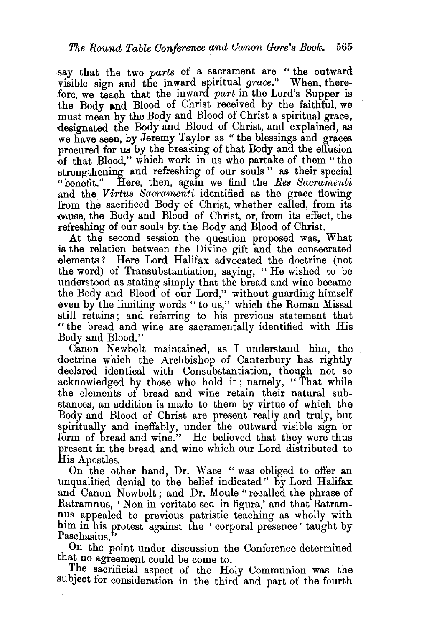say that the two *parts* of a sacrament are " the outward visible sign and the inward spiritual *grace."* When, therefore, we teach that the inward *part* in the Lord's Supper is the Body and Blood of Christ received by the faithful, we must mean by the Body and Blood of Christ a spiritual grace, designated the Body and Blood of Christ, and explained, as we have seen, by Jeremy Taylor as "the blessings and graces procured for us by the breaking of that Body and the effusion of that Blood," which work in us who partake of them "the strengthening and refreshing of our souls " as their special «benefit." Here, then, again we find the *Res Sacramenti*  .and the *Virtus Sacramenti* identified as the grace flowing from the sacrificed Body of Christ, whether called, from its cause, the Body and Blood of Christ, or, from its effect, the refreshing of our souls by the Body and Blood of Christ.

At the second session the question proposed was, What is the relation between the Divine gift and the consecrated elements? Here Lord Haiifax advocated the doctrine (not the word) of Transubstantiation, saying, " He wished to be understood as stating simply that the bread and wine became the Body and Blood of our Lord," without guarding himself even by the limiting words "to us," which the Roman Missal still retains; and referring to his previous statement that " the bread and wine are sacramentally identified with His Body and Blood."

Canon Newbolt maintained, as I understand him, the doctrine which the Archbishop of Canterbury has rightly declared identical with Consubstantiation, though not so acknowledged by those who hold it; namely, "That while the elements of bread and wine retain their natural substances, an addition is made to them by virtue of which the Body and Blood of Christ are present really and truly, but spiritually and ineffably, under the outward visible sign or form of bread and wine." He believed that they were thus present in the bread and wine which our Lord distributed to His Apostles.

On the other hand, Dr. Wace " was obliged to offer an unqualified denial to the belief indicated" by Lord Halifax and Canon Newbolt; and Dr. Moule "recalled the phrase of Ratramnus, 'Non in veritate sed in figura,' and that Ratramnus appealed to previous patristic teaching as wholly with him in his protest against the ' corporal presence' taught by Paschasius."

On the point under discussion the Conference determined that no agreement could be come to.

The sacrificial aspect of the Holy Communion was the subject for consideration in the third and part of the fourth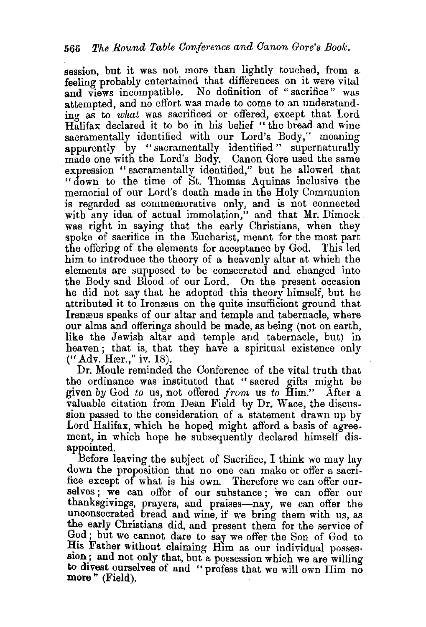session, but it was not more than lightly touched, from a feeling probably entertained that differences on it were vital and views incompatible. No definition of "sacrifice" was attempted, and no effort was made to come to an understanding as to *what* was sacrificed or offered, except that Lord Halifax declared it to be in his belief "the bread and wine sacramentally identified with our Lord's Body," meaning apparently by "sacramentally identified " supernaturally made one with the Lord's Body. Canon Gore used the same expression " sacramentally identified," but he allowed that "down to the time of St. Thomas Aquinas inclusive the memorial of our Lord's death made in the Holy Communion is regarded as commemorative only, and is not connected with any idea of actual immolation," and that Mr. Dimock was right in saying that the early Christians, when they spoke of sacrifice in the Eucharist, meant for the most part the offering of the elements for acceptance by God. This led him to introduce the theory of a heavenly altar at which the elements are supposed to be consecrated and changed into the Body and Blood of our Lord. On the present occasion he did not say that he adopted this theory himself, but he attributed it to Irenzeus on the quite insufficient ground that Irenæus speaks of our altar and temple and tabernacle, where our alms and offerings should be made, as being (not on earth, like the Jewish altar and temple and tabernacle, but) in heaven; that is, that they have a spiritual existence only ("Adv. Hær.," iv. 18).

Dr. Moule reminded the Conference of the vital truth that the ordinance was instituted that "sacred gifts might be given *by* God *to* us, not offered *from* us *to* Him." After a valuable citation from Dean Field by Dr. Wace, the discussion passed to the consideration of a statement drawn up by Lord Halifax, which he hoped might aftord a basis of agreement, in which hope he subsequently declared himself disappointed.

Before leaving the subject of Sacrifice, I think we may lay down the proposition that no one can make or offer a sacrifice except of what is his own. Therefore we can offer ourselves ; we can offer of our substance; we can offer our thanksgivings, prayers, and praises-nay, we can ofter the unconsecrated bread and wine, if we bring them with us, as the early Christians did, and present them for the service of God; but we cannot dare to say we offer the Son of God to His Father without claiming Him as our individual possession; and not only that, but a possession which we are willing to divest ourselves of and "profess that we will own Him no **more** " (Field).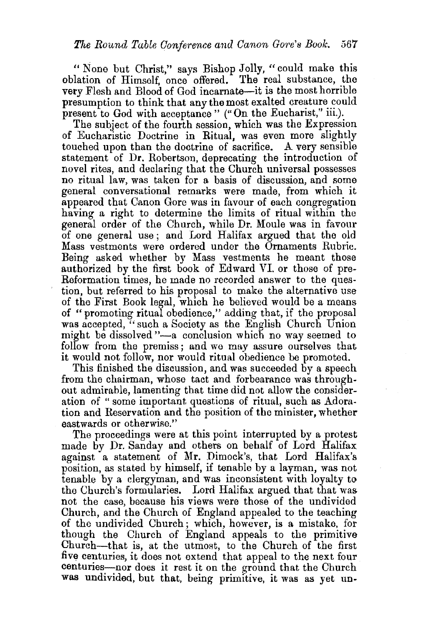"None but Christ," says Bishop Jolly, "could make this oblation of Himself, once offered. The real substance, the very Flesh and Blood of God incarnate-it is the most horrible presumption to think that any the most exalted creature could present to God with acceptance" ("On the Eucharist," iii.).

The subject of the fourth session, which was the Expression of Eucharistic Doctrine in Ritual, was even more slightly touched upon than the doctrine of sacrifice. A very sensible statement of Dr. Robertson, deprecating the introduction of novel rites, and declaring that the Church universal possesses no ritual law, was taken for a basis of discussion, and some general conversational remarks were made, from which it appeared that Canon Gore was in favour of each congregation having a right to determine the limits of ritual within the general order of the Church, while Dr. Moule was in favour of one general use ; and Lord Halifax argued that the old Mass vestments were ordered under the Ornaments Rubric. Being asked whether by Mass vestments he meant those authorized by the first book of Edward VI. or those of pre-Reformation times, he made no recorded answer to the question, but referred to his proposal to make the alternative use of the First Book legal, which he believed would be a means of "promoting ritual obedience," adding that, if the proposal was accepted, "such a Society as the English Church Union might be dissolved "-a conclusion which no way seemed to follow from the premiss ; and *we* may assure ourselves that it would not follow, nor would ritual obedience be promoted.

This finished the discussion, and was succeeded by a speech from the chairman, whose tact and forbearance was throughout admirable, lamenting that time did not allow the consideration of " some important questions of ritual, such as Adoration and Reservation and the position of the minister, whether eastwards or otherwise."

The proceedings were at this point interrupted by a protest made by Dr. Sanday and others on behalf of Lord Halifax against a statement of Mr. Dimock's, that Lord Halifax's position, as stated by himself, if tenable by a layman, was not tenable by a clergyman, and was inconsistent with loyalty to the Church's formularies. Lord Halifax argued that that was not the case, because his views were those of the undivided Church, and the Church of England appealed to the teaching of the undivided Church; which, however, is a mistake, for though the Church of England appeals to the primitive Church-that is, at the utmost, to the Church of the first five centuries, it does not extend that appeal to the next four centuries-nor does it rest it on the ground that the Church was undivided, but that, being primitive, it was as yet un